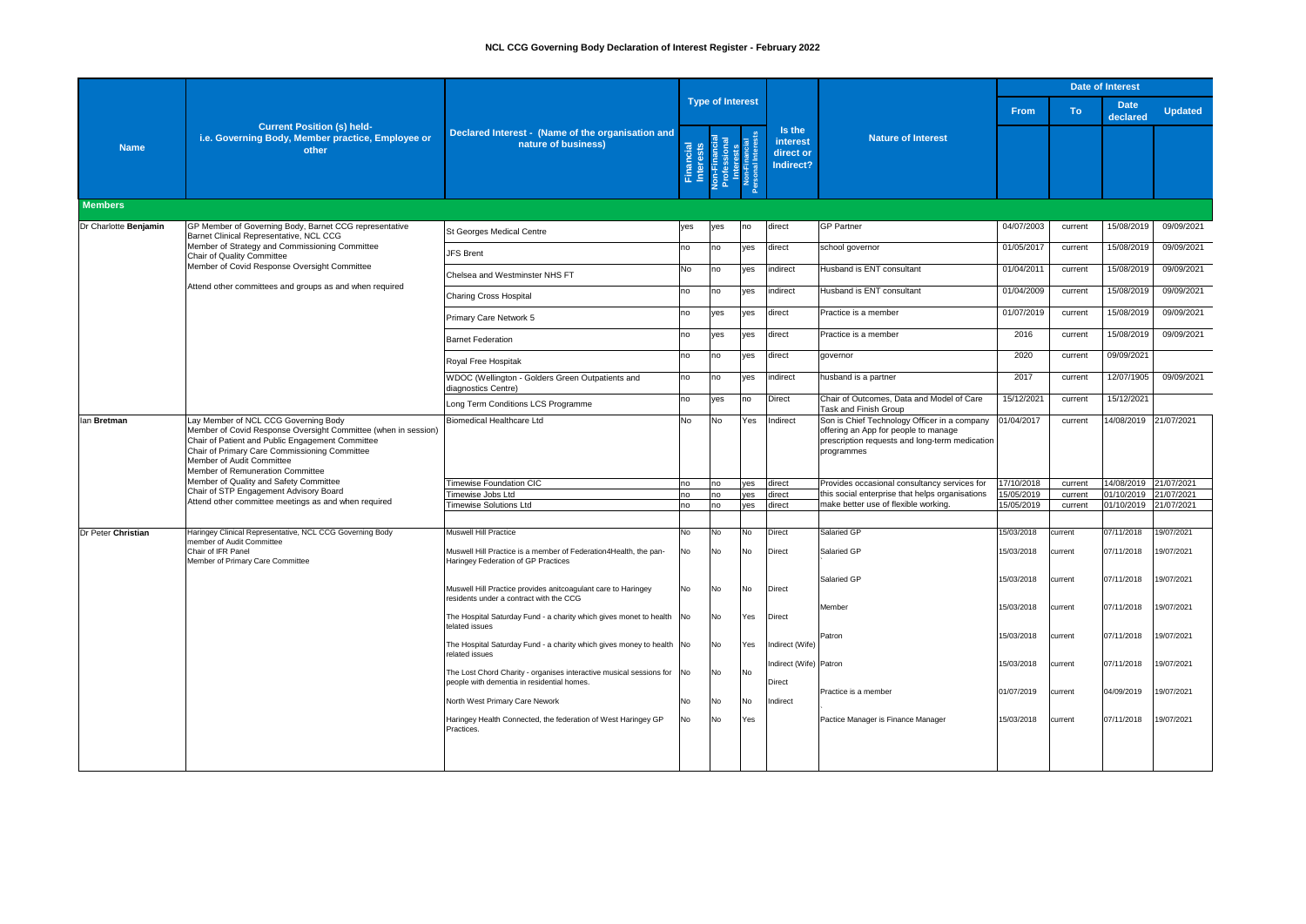|                           |                                                                                                                                                                                                                                                                                                                                                                                                                          |                                                                                                                      | <b>Date of Interest</b>          |           |                                                                                   |                                              |                                                                                                                                                      |            |           |                         |                       |
|---------------------------|--------------------------------------------------------------------------------------------------------------------------------------------------------------------------------------------------------------------------------------------------------------------------------------------------------------------------------------------------------------------------------------------------------------------------|----------------------------------------------------------------------------------------------------------------------|----------------------------------|-----------|-----------------------------------------------------------------------------------|----------------------------------------------|------------------------------------------------------------------------------------------------------------------------------------------------------|------------|-----------|-------------------------|-----------------------|
|                           |                                                                                                                                                                                                                                                                                                                                                                                                                          |                                                                                                                      |                                  |           | <b>Type of Interest</b>                                                           |                                              |                                                                                                                                                      | From       | <b>To</b> | <b>Date</b><br>declared | <b>Updated</b>        |
| <b>Name</b>               | <b>Current Position (s) held-</b><br>i.e. Governing Body, Member practice, Employee or<br>other                                                                                                                                                                                                                                                                                                                          | Declared Interest - (Name of the organisation and<br>nature of business)                                             | ncial<br>rests<br>Finar<br>Inter |           | Non-Financial<br>Professional<br>Interests<br>Non-Financial<br>Personal Interests | Is the<br>interest<br>direct or<br>Indirect? | <b>Nature of Interest</b>                                                                                                                            |            |           |                         |                       |
| <b>Members</b>            |                                                                                                                                                                                                                                                                                                                                                                                                                          |                                                                                                                      |                                  |           |                                                                                   |                                              |                                                                                                                                                      |            |           |                         |                       |
| Dr Charlotte Benjamin     | GP Member of Governing Body, Barnet CCG representative<br>Barnet Clinical Representative, NCL CCG                                                                                                                                                                                                                                                                                                                        | St Georges Medical Centre                                                                                            | yes                              | ves       | no                                                                                | direct                                       | <b>GP Partner</b>                                                                                                                                    | 04/07/2003 | current   | 15/08/2019              | 09/09/2021            |
|                           | Member of Strategy and Commissioning Committee<br>Chair of Quality Committee                                                                                                                                                                                                                                                                                                                                             | <b>JFS Brent</b>                                                                                                     | no                               | no        | ves                                                                               | direct                                       | school governor                                                                                                                                      | 01/05/2017 | current   | 15/08/2019              | 09/09/2021            |
|                           | Member of Covid Response Oversight Committee                                                                                                                                                                                                                                                                                                                                                                             | Chelsea and Westminster NHS FT                                                                                       | No                               | no        | ves                                                                               | indirect                                     | Husband is ENT consultant                                                                                                                            | 01/04/2011 | current   | 15/08/2019              | 09/09/2021            |
|                           | Attend other committees and groups as and when required                                                                                                                                                                                                                                                                                                                                                                  | Charing Cross Hospital                                                                                               | no                               | no        | yes                                                                               | indirect                                     | Husband is ENT consultant                                                                                                                            | 01/04/2009 | current   | 15/08/2019              | 09/09/2021            |
|                           |                                                                                                                                                                                                                                                                                                                                                                                                                          | Primary Care Network 5                                                                                               | no                               | ves       | yes                                                                               | direct                                       | Practice is a member                                                                                                                                 | 01/07/2019 | current   | 15/08/2019              | 09/09/2021            |
|                           |                                                                                                                                                                                                                                                                                                                                                                                                                          | <b>Barnet Federation</b>                                                                                             | no                               | yes       | yes                                                                               | direct                                       | Practice is a member                                                                                                                                 | 2016       | current   | 15/08/2019              | 09/09/2021            |
|                           |                                                                                                                                                                                                                                                                                                                                                                                                                          | Royal Free Hospitak                                                                                                  | no                               | no        | ves                                                                               | direct                                       | governor                                                                                                                                             | 2020       | current   | 09/09/2021              |                       |
|                           |                                                                                                                                                                                                                                                                                                                                                                                                                          | WDOC (Wellington - Golders Green Outpatients and<br>diagnostics Centre)                                              | no                               | no        | ves                                                                               | indirect                                     | husband is a partner                                                                                                                                 | 2017       | current   | 12/07/1905              | 09/09/2021            |
|                           |                                                                                                                                                                                                                                                                                                                                                                                                                          | Long Term Conditions LCS Programme                                                                                   | no                               | yes       | no                                                                                | Direct                                       | Chair of Outcomes, Data and Model of Care<br><b>Task and Finish Group</b>                                                                            | 15/12/2021 | current   | 15/12/2021              |                       |
| lan Bretman               | Lay Member of NCL CCG Governing Body<br>Member of Covid Response Oversight Committee (when in session)<br>Chair of Patient and Public Engagement Committee<br>Chair of Primary Care Commissioning Committee<br>Member of Audit Committee<br>Member of Remuneration Committee<br>Member of Quality and Safety Committee<br>Chair of STP Engagement Advisory Board<br>Attend other committee meetings as and when required | Biomedical Healthcare Ltd                                                                                            | <b>No</b>                        | <b>No</b> | Yes                                                                               | Indirect                                     | Son is Chief Technology Officer in a company<br>offering an App for people to manage<br>prescription requests and long-term medication<br>programmes | 01/04/2017 | current   |                         | 14/08/2019 21/07/2021 |
|                           |                                                                                                                                                                                                                                                                                                                                                                                                                          | <b>Timewise Foundation CIC</b>                                                                                       | no                               | no        | yes                                                                               | direct                                       | Provides occasional consultancy services for                                                                                                         | 17/10/2018 | current   | 14/08/2019              | 21/07/2021            |
|                           |                                                                                                                                                                                                                                                                                                                                                                                                                          | Timewise Jobs Ltd                                                                                                    | no                               | no        | yes                                                                               | direct                                       | this social enterprise that helps organisations                                                                                                      | 15/05/2019 | current   | 01/10/2019              | 21/07/2021            |
|                           |                                                                                                                                                                                                                                                                                                                                                                                                                          | <b>Timewise Solutions Ltd</b>                                                                                        | no                               | no        | ves                                                                               | direct                                       | make better use of flexible working.                                                                                                                 | 15/05/2019 | current   | 01/10/2019              | 21/07/2021            |
| <b>Dr Peter Christian</b> | Haringey Clinical Representative, NCL CCG Governing Body<br>member of Audit Committee<br>Chair of IFR Panel<br>Member of Primary Care Committee                                                                                                                                                                                                                                                                          | <b>Muswell Hill Practice</b>                                                                                         | No                               | No        | No                                                                                | <b>Direct</b>                                | Salaried GP                                                                                                                                          | 15/03/2018 | current   | 07/11/2018              | 19/07/2021            |
|                           |                                                                                                                                                                                                                                                                                                                                                                                                                          | Muswell Hill Practice is a member of Federation4Health, the pan-<br>Haringey Federation of GP Practices              | No                               | No        | No                                                                                | Direct                                       | Salaried GP                                                                                                                                          | 15/03/2018 | current   | 07/11/2018              | 9/07/2021             |
|                           |                                                                                                                                                                                                                                                                                                                                                                                                                          | Muswell Hill Practice provides anitcoagulant care to Haringey<br>residents under a contract with the CCG             | No                               | No        | No                                                                                | <b>Direct</b>                                | Salaried GP                                                                                                                                          | 15/03/2018 | current   | 07/11/2018              | 19/07/2021            |
|                           |                                                                                                                                                                                                                                                                                                                                                                                                                          | The Hospital Saturday Fund - a charity which gives monet to health No<br>telated issues                              |                                  | No        | Yes                                                                               | <b>Direct</b>                                | Member                                                                                                                                               | 15/03/2018 | current   | 07/11/2018              | 19/07/2021            |
|                           |                                                                                                                                                                                                                                                                                                                                                                                                                          | The Hospital Saturday Fund - a charity which gives money to health No<br>related issues                              |                                  | No        | Yes                                                                               | Indirect (Wife)                              | Patron                                                                                                                                               | 15/03/2018 | current   | 07/11/2018              | 19/07/2021            |
|                           |                                                                                                                                                                                                                                                                                                                                                                                                                          | The Lost Chord Charity - organises interactive musical sessions for No<br>people with dementia in residential homes. |                                  | No        | No                                                                                | Indirect (Wife) Patron<br>Direct             |                                                                                                                                                      | 15/03/2018 | current   | 07/11/2018              | 19/07/2021            |
|                           |                                                                                                                                                                                                                                                                                                                                                                                                                          | North West Primary Care Nework                                                                                       | No                               | No        | No                                                                                | Indirect                                     | Practice is a member                                                                                                                                 | 01/07/2019 | current   | 04/09/2019              | 19/07/2021            |
|                           |                                                                                                                                                                                                                                                                                                                                                                                                                          | Haringey Health Connected, the federation of West Haringey GP<br>Practices.                                          | No                               | No        | Yes                                                                               |                                              | Pactice Manager is Finance Manager                                                                                                                   | 15/03/2018 | current   | 07/11/2018              | 19/07/2021            |
|                           |                                                                                                                                                                                                                                                                                                                                                                                                                          |                                                                                                                      |                                  |           |                                                                                   |                                              |                                                                                                                                                      |            |           |                         |                       |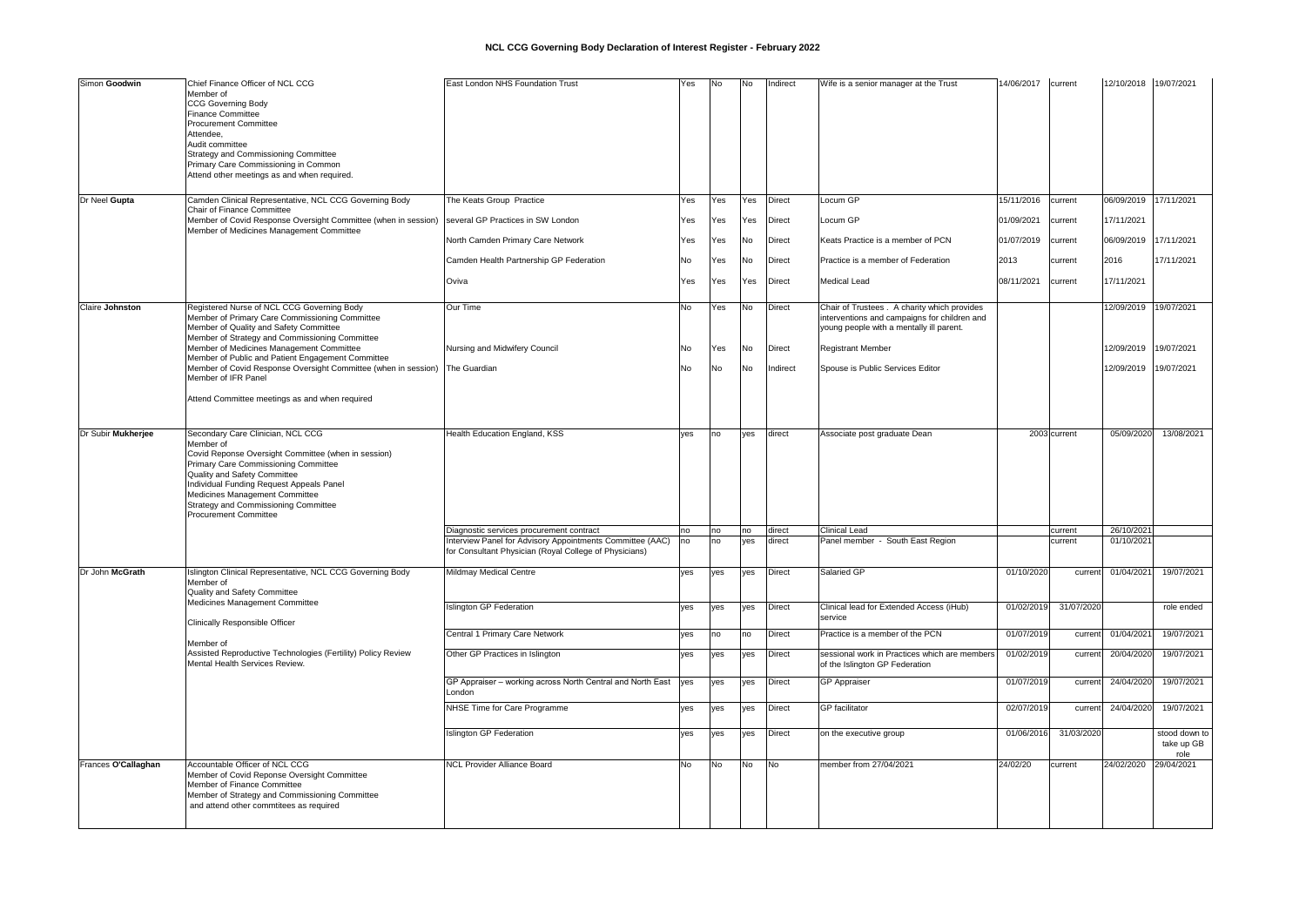| Simon Goodwin          | Chief Finance Officer of NCL CCG<br>Member of<br><b>CCG Governing Body</b><br><b>Finance Committee</b><br><b>Procurement Committee</b><br>Attendee.<br>Audit committee<br><b>Strategy and Commissioning Committee</b><br>Primary Care Commissioning in Common<br>Attend other meetings as and when required.                        | East London NHS Foundation Trust                                                                                    | Yes       | No  | No  | Indirect      | Wife is a senior manager at the Trust                                                                                                    | 14/06/2017 | current      | 12/10/2018 19/07/2021 |                                     |
|------------------------|-------------------------------------------------------------------------------------------------------------------------------------------------------------------------------------------------------------------------------------------------------------------------------------------------------------------------------------|---------------------------------------------------------------------------------------------------------------------|-----------|-----|-----|---------------|------------------------------------------------------------------------------------------------------------------------------------------|------------|--------------|-----------------------|-------------------------------------|
| Dr Neel Gupta          | Camden Clinical Representative, NCL CCG Governing Body                                                                                                                                                                                                                                                                              | The Keats Group Practice                                                                                            | Yes       | Yes | Yes | <b>Direct</b> | Locum GP                                                                                                                                 | 15/11/2016 | current      | 06/09/2019 17/11/2021 |                                     |
|                        | Chair of Finance Committee<br>Member of Covid Response Oversight Committee (when in session)                                                                                                                                                                                                                                        | several GP Practices in SW London                                                                                   | Yes       | Yes | Yes | Direct        | Locum GP                                                                                                                                 | 01/09/2021 | current      | 17/11/2021            |                                     |
|                        | Member of Medicines Management Committee                                                                                                                                                                                                                                                                                            | North Camden Primary Care Network                                                                                   | Yes       | Yes | No  | Direct        | Keats Practice is a member of PCN                                                                                                        | 01/07/2019 | current      | 06/09/2019 17/11/2021 |                                     |
|                        |                                                                                                                                                                                                                                                                                                                                     | Camden Health Partnership GP Federation                                                                             | No        | Yes | No  | <b>Direct</b> | Practice is a member of Federation                                                                                                       | 2013       | current      | 2016                  | 17/11/2021                          |
|                        |                                                                                                                                                                                                                                                                                                                                     | Oviva                                                                                                               | Yes       | Yes | Yes | <b>Direct</b> | <b>Medical Lead</b>                                                                                                                      | 08/11/2021 | current      | 17/11/2021            |                                     |
| <b>Claire Johnston</b> | Registered Nurse of NCL CCG Governing Body<br>Member of Primary Care Commissioning Committee<br>Member of Quality and Safety Committee<br>Member of Strategy and Commissioning Committee                                                                                                                                            | Our Time                                                                                                            | <b>No</b> | Yes | No  | <b>Direct</b> | Chair of Trustees . A charity which provides<br>interventions and campaigns for children and<br>young people with a mentally ill parent. |            |              | 12/09/2019 19/07/2021 |                                     |
|                        | Member of Medicines Management Committee<br>Member of Public and Patient Engagement Committee                                                                                                                                                                                                                                       | Nursing and Midwifery Council                                                                                       | No        | Yes | No  | <b>Direct</b> | <b>Registrant Member</b>                                                                                                                 |            |              | 12/09/2019 19/07/2021 |                                     |
|                        | Member of Covid Response Oversight Committee (when in session)<br>Member of IFR Panel                                                                                                                                                                                                                                               | The Guardian                                                                                                        | <b>No</b> | No  | No  | ndirect       | Spouse is Public Services Editor                                                                                                         |            |              | 12/09/2019 19/07/2021 |                                     |
|                        | Attend Committee meetings as and when required                                                                                                                                                                                                                                                                                      |                                                                                                                     |           |     |     |               |                                                                                                                                          |            |              |                       |                                     |
| Dr Subir Mukherjee     | Secondary Care Clinician, NCL CCG<br>Member of<br>Covid Reponse Oversight Committee (when in session)<br>Primary Care Commissioning Committee<br>Quality and Safety Committee<br>Individual Funding Request Appeals Panel<br>Medicines Management Committee<br>Strategy and Commissioning Committee<br><b>Procurement Committee</b> | Health Education England, KSS                                                                                       | ves       | no  | ves | direct        | Associate post graduate Dean                                                                                                             |            | 2003 current | 05/09/2020            | 13/08/2021                          |
|                        |                                                                                                                                                                                                                                                                                                                                     | Diagnostic services procurement contract                                                                            | no        | no  | no  | direct        | <b>Clinical Lead</b>                                                                                                                     |            | current      | 26/10/2021            |                                     |
|                        |                                                                                                                                                                                                                                                                                                                                     | Interview Panel for Advisory Appointments Committee (AAC)<br>for Consultant Physician (Royal College of Physicians) | no        | no  | ves | direct        | Panel member - South East Region                                                                                                         |            | current      | 01/10/2021            |                                     |
| Dr John McGrath        | Islington Clinical Representative, NCL CCG Governing Body<br>Member of<br>Quality and Safety Committee                                                                                                                                                                                                                              | <b>Mildmay Medical Centre</b>                                                                                       | yes       | yes | yes | <b>Direct</b> | Salaried GP                                                                                                                              | 01/10/2020 | current      | 01/04/2021            | 19/07/2021                          |
|                        | Medicines Management Committee<br><b>Clinically Responsible Officer</b>                                                                                                                                                                                                                                                             | <b>Islington GP Federation</b>                                                                                      | ves       | yes | yes | <b>Direct</b> | Clinical lead for Extended Access (iHub)<br>service                                                                                      | 01/02/2019 | 31/07/2020   |                       | role ended                          |
|                        | Member of                                                                                                                                                                                                                                                                                                                           | Central 1 Primary Care Network                                                                                      | ves       | no  | no  | <b>Direct</b> | Practice is a member of the PCN                                                                                                          | 01/07/2019 | current      | 01/04/2021            | 19/07/2021                          |
|                        | Assisted Reproductive Technologies (Fertility) Policy Review<br>Mental Health Services Review.                                                                                                                                                                                                                                      | Other GP Practices in Islington                                                                                     | yes       | yes | yes | <b>Direct</b> | sessional work in Practices which are members<br>of the Islington GP Federation                                                          | 01/02/2019 | current      | 20/04/2020            | 19/07/2021                          |
|                        |                                                                                                                                                                                                                                                                                                                                     | GP Appraiser - working across North Central and North East<br>_ondon                                                | yes       | yes | yes | <b>Direct</b> | <b>GP</b> Appraiser                                                                                                                      | 01/07/2019 | current      | 24/04/2020            | 19/07/2021                          |
|                        |                                                                                                                                                                                                                                                                                                                                     | NHSE Time for Care Programme                                                                                        | yes       | yes | yes | <b>Direct</b> | <b>GP</b> facilitator                                                                                                                    | 02/07/2019 | current      | 24/04/2020            | 19/07/2021                          |
|                        |                                                                                                                                                                                                                                                                                                                                     | <b>Islington GP Federation</b>                                                                                      | yes       | yes | yes | <b>Direct</b> | on the executive group                                                                                                                   | 01/06/2016 | 31/03/2020   |                       | stood down to<br>take up GB<br>role |
| Frances O'Callaghan    | Accountable Officer of NCL CCG<br>Member of Covid Reponse Oversight Committee<br>Member of Finance Committee<br>Member of Strategy and Commissioning Committee<br>and attend other commtitees as required                                                                                                                           | <b>NCL Provider Alliance Board</b>                                                                                  | No        | No  | No  | <b>No</b>     | member from 27/04/2021                                                                                                                   | 24/02/20   | current      | 24/02/2020            | 29/04/2021                          |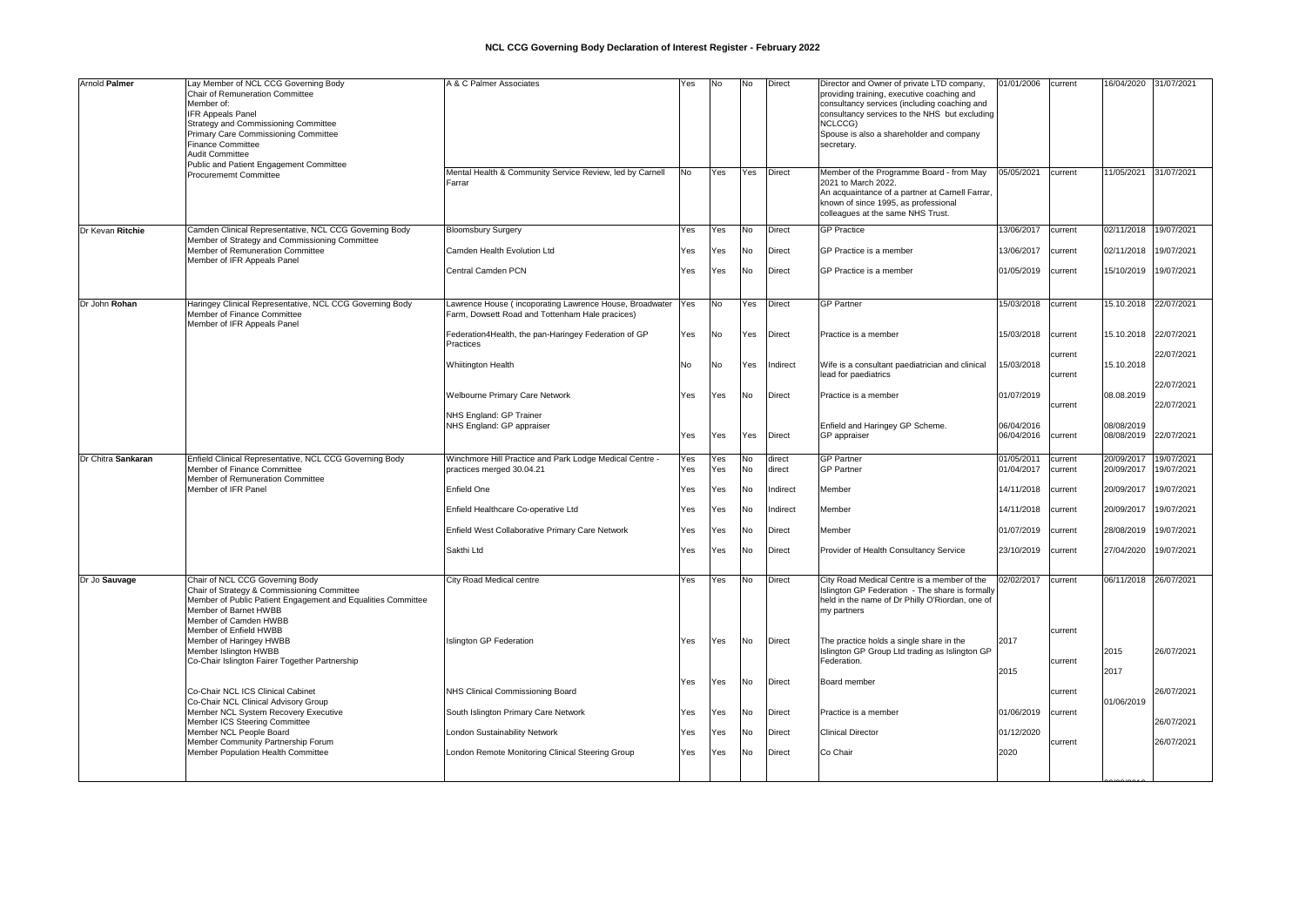| Arnold Palmer      | Lay Member of NCL CCG Governing Body<br><b>Chair of Remuneration Committee</b><br>Member of:<br><b>IFR Appeals Panel</b><br>Strategy and Commissioning Committee<br>Primary Care Commissioning Committee<br>Finance Committee<br><b>Audit Committee</b><br>Public and Patient Engagement Committee | A & C Palmer Associates                                                                                    | Yes        | <b>No</b>  | <b>No</b>       | <b>Direct</b>                  | Director and Owner of private LTD company,<br>providing training, executive coaching and<br>consultancy services (including coaching and<br>consultancy services to the NHS but excluding<br>NCLCCG)<br>Spouse is also a shareholder and company<br>secretary. | 01/01/2006<br>05/05/2021 | current            | 16/04/2020 31/07/2021<br>11/05/2021 31/07/2021 |                          |
|--------------------|----------------------------------------------------------------------------------------------------------------------------------------------------------------------------------------------------------------------------------------------------------------------------------------------------|------------------------------------------------------------------------------------------------------------|------------|------------|-----------------|--------------------------------|----------------------------------------------------------------------------------------------------------------------------------------------------------------------------------------------------------------------------------------------------------------|--------------------------|--------------------|------------------------------------------------|--------------------------|
|                    | <b>Procurememt Committee</b>                                                                                                                                                                                                                                                                       | Mental Health & Community Service Review, led by Carnell<br>Farrar                                         | No.        | Yes        | Yes             | <b>Direct</b>                  | Member of the Programme Board - from May<br>2021 to March 2022.<br>An acquaintance of a partner at Carnell Farrar,<br>known of since 1995, as professional<br>colleagues at the same NHS Trust.                                                                |                          | current            |                                                |                          |
| Dr Kevan Ritchie   | Camden Clinical Representative, NCL CCG Governing Body<br>Member of Strategy and Commissioning Committee                                                                                                                                                                                           | <b>Bloomsbury Surgery</b>                                                                                  | Yes        | Yes        | No              | <b>Direct</b>                  | <b>GP Practice</b>                                                                                                                                                                                                                                             | 13/06/2017               | current            | 02/11/2018                                     | 19/07/2021               |
|                    | Member of Remuneration Committee<br>Member of IFR Appeals Panel                                                                                                                                                                                                                                    | Camden Health Evolution Ltd<br>Central Camden PCN                                                          | Yes<br>Yes | Yes<br>Yes | <b>No</b><br>No | <b>Direct</b><br><b>Direct</b> | GP Practice is a member<br>GP Practice is a member                                                                                                                                                                                                             | 13/06/2017<br>01/05/2019 | current<br>current | 02/11/2018<br>15/10/2019                       | 19/07/2021<br>19/07/2021 |
| Dr John Rohan      | Haringey Clinical Representative, NCL CCG Governing Body<br>Member of Finance Committee<br>Member of IFR Appeals Panel                                                                                                                                                                             | Lawrence House (incoporating Lawrence House, Broadwater<br>Farm, Dowsett Road and Tottenham Hale pracices) | <b>Yes</b> | <b>No</b>  | Yes             | <b>Direct</b>                  | <b>GP Partner</b>                                                                                                                                                                                                                                              | 15/03/2018               | current            | 15.10.2018 22/07/2021                          |                          |
|                    |                                                                                                                                                                                                                                                                                                    | Federation4Health, the pan-Haringey Federation of GP<br>Practices                                          | Yes        | No.        | Yes             | <b>Direct</b>                  | Practice is a member                                                                                                                                                                                                                                           | 15/03/2018               | current            | 15.10.2018 22/07/2021                          |                          |
|                    |                                                                                                                                                                                                                                                                                                    | <b>Whiitington Health</b>                                                                                  | No.        | No         | Yes             | Indirect                       | Wife is a consultant paediatrician and clinical<br>lead for paediatrics                                                                                                                                                                                        | 15/03/2018               | current<br>current | 15.10.2018                                     | 22/07/2021<br>22/07/2021 |
|                    |                                                                                                                                                                                                                                                                                                    | Welbourne Primary Care Network                                                                             | Yes        | Yes        | <b>No</b>       | <b>Direct</b>                  | Practice is a member                                                                                                                                                                                                                                           | 01/07/2019               | current            | 08.08.2019                                     | 22/07/2021               |
|                    |                                                                                                                                                                                                                                                                                                    | NHS England: GP Trainer<br>NHS England: GP appraiser                                                       | Yes        | Yes        | Yes             | <b>Direct</b>                  | Enfield and Haringey GP Scheme.<br>GP appraiser                                                                                                                                                                                                                | 06/04/2016<br>06/04/2016 | current            | 08/08/2019<br>08/08/2019                       | 22/07/2021               |
| Dr Chitra Sankaran | Enfield Clinical Representative, NCL CCG Governing Body<br>Member of Finance Committee<br>Member of Remuneration Committee<br>Member of IFR Panel                                                                                                                                                  | Winchmore Hill Practice and Park Lodge Medical Centre<br>practices merged 30.04.21                         | Yes<br>Yes | Yes<br>Yes | <b>No</b><br>No | direct<br>direct               | <b>GP</b> Partner<br><b>GP Partner</b>                                                                                                                                                                                                                         | 01/05/2011<br>01/04/2017 | current<br>current | 20/09/2017<br>20/09/2017                       | 19/07/2021<br>19/07/2021 |
|                    |                                                                                                                                                                                                                                                                                                    | Enfield One                                                                                                | Yes        | Yes        | No              | Indirect                       | Member                                                                                                                                                                                                                                                         | 14/11/2018               | current            | 20/09/2017                                     | 19/07/2021               |
|                    |                                                                                                                                                                                                                                                                                                    | Enfield Healthcare Co-operative Ltd                                                                        | Yes        | Yes        | No              | ndirect                        | Member                                                                                                                                                                                                                                                         | 14/11/2018               | current            | 20/09/2017                                     | 19/07/2021               |
|                    |                                                                                                                                                                                                                                                                                                    | Enfield West Collaborative Primary Care Network                                                            | Yes        | Yes        | <b>No</b>       | <b>Direct</b>                  | Member                                                                                                                                                                                                                                                         | 01/07/2019               | current            | 28/08/2019                                     | 19/07/2021               |
|                    |                                                                                                                                                                                                                                                                                                    | Sakthi Ltd                                                                                                 | Yes        | Yes        | No              | <b>Direct</b>                  | Provider of Health Consultancy Service                                                                                                                                                                                                                         | 23/10/2019               | current            | 27/04/2020                                     | 19/07/2021               |
| Dr Jo Sauvage      | Chair of NCL CCG Governing Body<br>Chair of Strategy & Commissioning Committee<br>Member of Public Patient Engagement and Equalities Committee<br>Member of Barnet HWBB<br>Member of Camden HWBB                                                                                                   | City Road Medical centre                                                                                   | Yes        | Yes        | No              | <b>Direct</b>                  | City Road Medical Centre is a member of the<br>Islington GP Federation - The share is formally<br>held in the name of Dr Philly O'Riordan, one of<br>my partners                                                                                               | 02/02/2017               | current            | 06/11/2018 26/07/2021                          |                          |
|                    | Member of Enfield HWBB<br>Member of Haringey HWBB<br>Member Islington HWBB<br>Co-Chair Islington Fairer Together Partnership                                                                                                                                                                       | <b>Islington GP Federation</b>                                                                             | Yes        | Yes        | No.             | <b>Direct</b>                  | The practice holds a single share in the<br>Islington GP Group Ltd trading as Islington GP<br>Federation.                                                                                                                                                      | 2017                     | current<br>current | 2015                                           | 26/07/2021               |
|                    | Co-Chair NCL ICS Clinical Cabinet                                                                                                                                                                                                                                                                  | NHS Clinical Commissioning Board                                                                           | Yes        | Yes        | <b>No</b>       | <b>Direct</b>                  | Board member                                                                                                                                                                                                                                                   | 2015                     | current            | 2017                                           | 26/07/2021               |
|                    | Co-Chair NCL Clinical Advisory Group<br>Member NCL System Recovery Executive<br>Member ICS Steering Committee                                                                                                                                                                                      | South Islington Primary Care Network                                                                       | Yes        | Yes        | <b>No</b>       | <b>Direct</b>                  | Practice is a member                                                                                                                                                                                                                                           | 01/06/2019               | current            | 01/06/2019                                     | 26/07/2021               |
|                    | Member NCL People Board<br>Member Community Partnership Forum                                                                                                                                                                                                                                      | London Sustainability Network                                                                              | Yes        | Yes        | No              | <b>Direct</b>                  | <b>Clinical Director</b>                                                                                                                                                                                                                                       | 01/12/2020               | current            |                                                | 26/07/2021               |
|                    | Member Population Health Committee                                                                                                                                                                                                                                                                 | London Remote Monitoring Clinical Steering Group                                                           | Yes        | Yes        | <b>No</b>       | <b>Direct</b>                  | Co Chair                                                                                                                                                                                                                                                       | 2020                     |                    |                                                |                          |
|                    |                                                                                                                                                                                                                                                                                                    |                                                                                                            |            |            |                 |                                |                                                                                                                                                                                                                                                                |                          |                    |                                                |                          |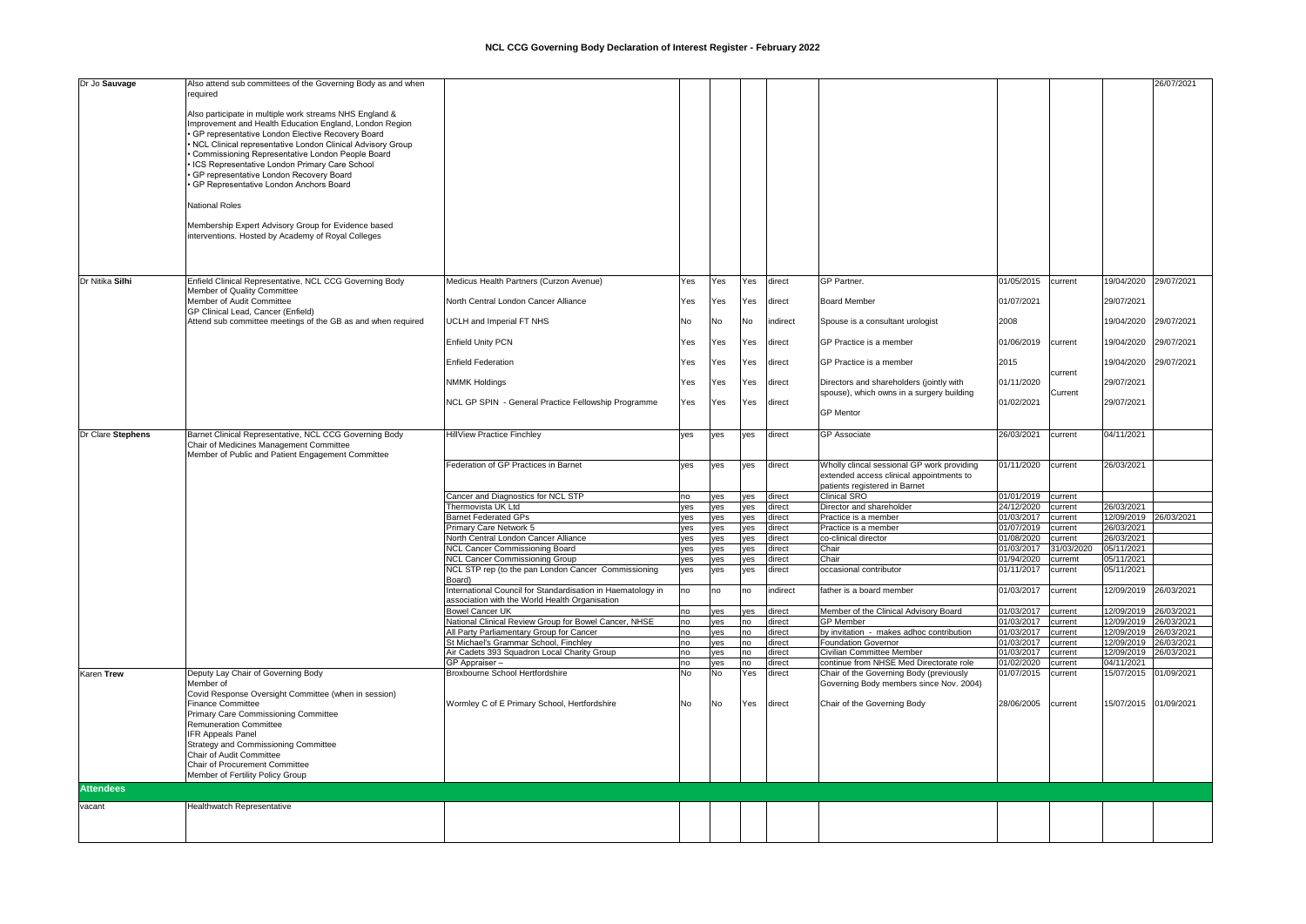| Dr Jo Sauvage     | Also attend sub committees of the Governing Body as and when |                                                               |     |           |     |          |                                            |                    |            |                       | 26/07/2021 |
|-------------------|--------------------------------------------------------------|---------------------------------------------------------------|-----|-----------|-----|----------|--------------------------------------------|--------------------|------------|-----------------------|------------|
|                   | required                                                     |                                                               |     |           |     |          |                                            |                    |            |                       |            |
|                   |                                                              |                                                               |     |           |     |          |                                            |                    |            |                       |            |
|                   | Also participate in multiple work streams NHS England &      |                                                               |     |           |     |          |                                            |                    |            |                       |            |
|                   | Improvement and Health Education England, London Region      |                                                               |     |           |     |          |                                            |                    |            |                       |            |
|                   | · GP representative London Elective Recovery Board           |                                                               |     |           |     |          |                                            |                    |            |                       |            |
|                   | . NCL Clinical representative London Clinical Advisory Group |                                                               |     |           |     |          |                                            |                    |            |                       |            |
|                   | Commissioning Representative London People Board             |                                                               |     |           |     |          |                                            |                    |            |                       |            |
|                   | ICS Representative London Primary Care School                |                                                               |     |           |     |          |                                            |                    |            |                       |            |
|                   | GP representative London Recovery Board                      |                                                               |     |           |     |          |                                            |                    |            |                       |            |
|                   | GP Representative London Anchors Board                       |                                                               |     |           |     |          |                                            |                    |            |                       |            |
|                   |                                                              |                                                               |     |           |     |          |                                            |                    |            |                       |            |
|                   | <b>National Roles</b>                                        |                                                               |     |           |     |          |                                            |                    |            |                       |            |
|                   |                                                              |                                                               |     |           |     |          |                                            |                    |            |                       |            |
|                   | Membership Expert Advisory Group for Evidence based          |                                                               |     |           |     |          |                                            |                    |            |                       |            |
|                   | interventions. Hosted by Academy of Royal Colleges           |                                                               |     |           |     |          |                                            |                    |            |                       |            |
|                   |                                                              |                                                               |     |           |     |          |                                            |                    |            |                       |            |
|                   |                                                              |                                                               |     |           |     |          |                                            |                    |            |                       |            |
|                   |                                                              |                                                               |     |           |     |          |                                            |                    |            |                       |            |
| Dr Nitika Silhi   | Enfield Clinical Representative, NCL CCG Governing Body      | Medicus Health Partners (Curzon Avenue)                       | Yes | Yes       | Yes | direct   | GP Partner.                                | 01/05/2015         | current    | 19/04/2020            | 29/07/2021 |
|                   | Member of Quality Committee                                  |                                                               |     |           |     |          |                                            |                    |            |                       |            |
|                   | Member of Audit Committee                                    | North Central London Cancer Alliance                          | Yes | Yes       | Yes | direct   | <b>Board Member</b>                        | 01/07/2021         |            | 29/07/2021            |            |
|                   | GP Clinical Lead, Cancer (Enfield)                           |                                                               |     |           |     |          |                                            |                    |            |                       |            |
|                   | Attend sub committee meetings of the GB as and when required | UCLH and Imperial FT NHS                                      | No  | No        | No  | indirect | Spouse is a consultant urologist           | 2008               |            | 19/04/2020 29/07/2021 |            |
|                   |                                                              |                                                               |     |           |     |          |                                            |                    |            |                       |            |
|                   |                                                              | <b>Enfield Unity PCN</b>                                      | Yes | Yes       | Yes | direct   | GP Practice is a member                    | 01/06/2019         | current    | 19/04/2020            | 29/07/2021 |
|                   |                                                              |                                                               |     |           |     |          |                                            |                    |            |                       |            |
|                   |                                                              | <b>Enfield Federation</b>                                     | Yes | Yes       | Yes | direct   | GP Practice is a member                    | 2015               |            | 19/04/2020            | 29/07/2021 |
|                   |                                                              |                                                               |     |           |     |          |                                            |                    | current    |                       |            |
|                   |                                                              | <b>NMMK Holdings</b>                                          | Yes | Yes       | Yes | direct   | Directors and shareholders (jointly with   | 01/11/2020         |            | 29/07/2021            |            |
|                   |                                                              |                                                               |     |           |     |          | spouse), which owns in a surgery building  |                    | Current    |                       |            |
|                   |                                                              | NCL GP SPIN - General Practice Fellowship Programme           | Yes | Yes       | Yes | direct   |                                            | 01/02/2021         |            | 29/07/2021            |            |
|                   |                                                              |                                                               |     |           |     |          | <b>GP</b> Mentor                           |                    |            |                       |            |
|                   |                                                              |                                                               |     |           |     |          |                                            |                    |            |                       |            |
| Dr Clare Stephens | Barnet Clinical Representative, NCL CCG Governing Body       | <b>HillView Practice Finchley</b>                             | yes | yes       | yes | direct   | <b>GP</b> Associate                        | 26/03/2021         | current    | 04/11/2021            |            |
|                   | Chair of Medicines Management Committee                      |                                                               |     |           |     |          |                                            |                    |            |                       |            |
|                   | Member of Public and Patient Engagement Committee            |                                                               |     |           |     |          |                                            |                    |            |                       |            |
|                   |                                                              | Federation of GP Practices in Barnet                          | yes | yes       | yes | direct   | Wholly clincal sessional GP work providing | 01/11/2020         | current    | 26/03/2021            |            |
|                   |                                                              |                                                               |     |           |     |          | extended access clinical appointments to   |                    |            |                       |            |
|                   |                                                              |                                                               |     |           |     |          | patients registered in Barnet              |                    |            |                       |            |
|                   |                                                              | Cancer and Diagnostics for NCL STP                            | no  | yes       | yes | direct   | Clinical SRO                               | 01/01/2019         | current    |                       |            |
|                   |                                                              | Thermovista UK Ltd                                            | yes | yes       | yes | direct   | Director and shareholder                   | 24/12/2020         | current    | 26/03/2021            |            |
|                   |                                                              | <b>Barnet Federated GPs</b>                                   | yes | yes       | yes | direct   | Practice is a member                       | 01/03/2017         | current    | 12/09/2019 26/03/2021 |            |
|                   |                                                              | Primary Care Network 5                                        | yes | yes       | yes | direct   | Practice is a member                       | 01/07/2019         | current    | 26/03/2021            |            |
|                   |                                                              | North Central London Cancer Alliance                          | yes | yes       | yes | direct   | co-clinical director                       | 01/08/2020         | current    | 26/03/2021            |            |
|                   |                                                              | NCL Cancer Commissioning Board                                | yes | yes       | yes | direct   | Chair                                      | 01/03/2017         | 31/03/2020 | 05/11/2021            |            |
|                   |                                                              | <b>NCL Cancer Commissioning Group</b>                         | yes | yes       | yes | direct   | Chair                                      | 01/94/2020         | curremt    | 05/11/2021            |            |
|                   |                                                              |                                                               |     |           |     |          |                                            |                    |            | 05/11/2021            |            |
|                   |                                                              | NCL STP rep (to the pan London Cancer Commissioning<br>Board) | yes | yes       | yes | direct   | occasional contributor                     | 01/11/2017 current |            |                       |            |
|                   |                                                              | International Council for Standardisation in Haematology in   | no  | no        | no  | indirect | father is a board member                   | 01/03/2017         | current    | 12/09/2019 26/03/2021 |            |
|                   |                                                              | association with the World Health Organisation                |     |           |     |          |                                            |                    |            |                       |            |
|                   |                                                              | <b>Bowel Cancer UK</b>                                        | no  | yes       | yes | direct   | Member of the Clinical Advisory Board      | 01/03/2017         | current    | 12/09/2019 26/03/2021 |            |
|                   |                                                              | National Clinical Review Group for Bowel Cancer, NHSE         | no  | yes       | no  | direct   | <b>GP</b> Member                           | 01/03/2017         | current    | 12/09/2019 26/03/2021 |            |
|                   |                                                              | All Party Parliamentary Group for Cancer                      | no  | yes       | no  | direct   | by invitation - makes adhoc contribution   | 01/03/2017         | current    | 12/09/2019 26/03/2021 |            |
|                   |                                                              | St Michael's Grammar School, Finchley                         | no  | yes       | no  | direct   | <b>Foundation Governor</b>                 | 01/03/2017         | current    | 12/09/2019 26/03/2021 |            |
|                   |                                                              | Air Cadets 393 Squadron Local Charity Group                   | no  | yes       | no  | direct   | Civilian Committee Member                  | 01/03/2017         | current    | 12/09/2019 26/03/2021 |            |
|                   |                                                              | GP Appraiser -                                                | no  | yes       | no  | direct   | continue from NHSE Med Directorate role    | 01/02/2020         | current    | 04/11/2021            |            |
| <b>Karen Trew</b> | Deputy Lay Chair of Governing Body                           | Broxbourne School Hertfordshire                               | No  | <b>No</b> | Yes | direct   | Chair of the Governing Body (previously    | 01/07/2015         | current    | 15/07/2015 01/09/2021 |            |
|                   | Member of                                                    |                                                               |     |           |     |          | Governing Body members since Nov. 2004)    |                    |            |                       |            |
|                   | Covid Response Oversight Committee (when in session)         |                                                               |     |           |     |          |                                            |                    |            |                       |            |
|                   | <b>Finance Committee</b>                                     | Wormley C of E Primary School, Hertfordshire                  | No  | No        | Yes | direct   | Chair of the Governing Body                | 28/06/2005         | current    | 15/07/2015 01/09/2021 |            |
|                   | Primary Care Commissioning Committee                         |                                                               |     |           |     |          |                                            |                    |            |                       |            |
|                   | <b>Remuneration Committee</b>                                |                                                               |     |           |     |          |                                            |                    |            |                       |            |
|                   | <b>IFR Appeals Panel</b>                                     |                                                               |     |           |     |          |                                            |                    |            |                       |            |
|                   | Strategy and Commissioning Committee                         |                                                               |     |           |     |          |                                            |                    |            |                       |            |
|                   | Chair of Audit Committee                                     |                                                               |     |           |     |          |                                            |                    |            |                       |            |
|                   | Chair of Procurement Committee                               |                                                               |     |           |     |          |                                            |                    |            |                       |            |
|                   |                                                              |                                                               |     |           |     |          |                                            |                    |            |                       |            |
|                   | Member of Fertility Policy Group                             |                                                               |     |           |     |          |                                            |                    |            |                       |            |
|                   |                                                              |                                                               |     |           |     |          |                                            |                    |            |                       |            |
| <b>Attendees</b>  |                                                              |                                                               |     |           |     |          |                                            |                    |            |                       |            |
| vacant            | Healthwatch Representative                                   |                                                               |     |           |     |          |                                            |                    |            |                       |            |
|                   |                                                              |                                                               |     |           |     |          |                                            |                    |            |                       |            |
|                   |                                                              |                                                               |     |           |     |          |                                            |                    |            |                       |            |